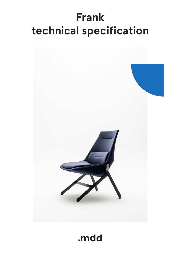# **Frank technical specification**



.mdd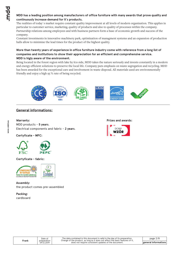# **MDD has a leading position among manufacturers of office furniture with many awards that prove quality and continuously increase demand for it`s products.**

The realities of today`s market require constant quality improvement at all levels of modern organization. This applies in particular to customer service, marketing, quality of products and also to quality of processes within the company. Partnership relations among employees and with business partners form a base of economic growth and success of the company.

Constant investments in innovative machinery park, optimization of managment systems and an expansion of production halls allow to minimize the lead times for the product of the highest quality.

## **More than twenty years of experience in office furniture industry come with reference from a long list of companies and institutions to show their appreciation for an efficient and comprehensive service. MDD is higly aware of the environment.**

Being located in the forest region with lake by it1s side, MDD takes the nature seriously and invests constantly in a modern and energy-efficient solutions to preserve the local life. Company puts emphasis on waste segregation and recycling. MDD has been awarded for the exceptional care and involvement in waste disposal. All materials used are environmentally friendly and enjoy a high 95 % rate of being recycled.



# **General informations:**

**Warranty :** MDD products - **5 years**. Electrical components and fabric - **2 years**.

# **Certyficate - MFC:**



**Certyficate - fabric:**



**Assembly:** the product comes pre-assembled

**Packing:** cardboard **Prizes and awards:**



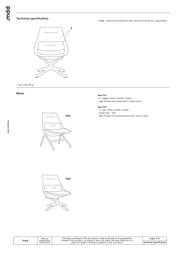## **Technical specification**

**1. Seat -** metal frame filled with foam, density of 55 kg/m3, upholstered



- max. load 120 kg

#### **Bases**



#### **Base F01:**

- \* 4 legged, metal, powder coated
- legs finished with metal feet in frame colour

#### **Base F02:**

- \* 4 star, metal, powder coated
- \* swivel seat 360°
- legs finished with polypropylene feet, colour: black



|       | Date of                   |
|-------|---------------------------|
| Frank | preparation<br>09.12.2019 |

 $\mathbf{I}$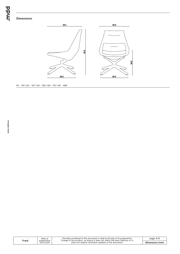bpur.

# **Dimensions**



W1 - 749 | W2 - 907 | W3 - 585 | W4 - 792 | W5 - 488|

 $\sqrt{2}$ 

| Frank | Date of                   | The data contained in this document is valid in the day of its preparation.<br>Change of the product, as long as it does not affect the basic features of it, | page $4/8$      |
|-------|---------------------------|---------------------------------------------------------------------------------------------------------------------------------------------------------------|-----------------|
|       | preparation<br>09.12.2019 | does not require consistent updates of the document.                                                                                                          | dimensions (mm) |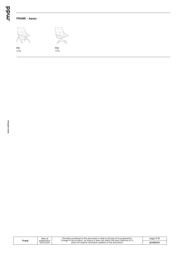# **FRANK - bases**



 $F02$ <br> $23 kg$ 

Ź

| Frank | Date of                   | The data contained in this document is valid in the day of its preparation.<br>Change of the product, as long as it does not affect the basic features of it, | page $5/8$ |
|-------|---------------------------|---------------------------------------------------------------------------------------------------------------------------------------------------------------|------------|
|       | preparation<br>09.12.2019 | does not require consistent updates of the document.                                                                                                          | products   |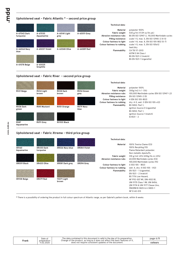## **Upholstered seat - Fabric Atlantic \* - second price group**



### **Upholstered seat - Fabric River - second price group**



**www.mdd.eu**

### **Upholstered seat - Fabric Xtreme - third price group**

|                     |                         |                      |              | <b>Technical data:</b>                                 |                                                                                                                                            |
|---------------------|-------------------------|----------------------|--------------|--------------------------------------------------------|--------------------------------------------------------------------------------------------------------------------------------------------|
| XR160<br>Aquamarine | XR430 Dark<br>turquoise | XR026 Navy blue      | XR084 Violet | Material                                               | 100% Trevira Clame (CS)<br>100% Recykling (YS)<br>Flame Retardant polyester.                                                               |
|                     |                         |                      |              | <b>Fabric weight</b><br>Abrasion resistance rubs       | Non metallic dyestuffs.<br>310 g/m2 ±5% (435g/lin.m ±5%)<br>60,000 Martindale cycles (CS)                                                  |
| XR009 Black         | XR420 Olive             | XR081 Dark grey      | XR094 Grey   | Colour fastness to light<br>Colour fastness to rubbing | 100,000 Martindale cycles (YS)<br>6 (ISO 105 - B02)<br>wet: 4, dry: 4 (ISO 105 - X12)                                                      |
|                     |                         |                      |              | Flammability                                           | EN $1021 - 1$ (cigarette),<br>$EN 1021 - 2 (match)$<br>BS 7176 Low Hazard.                                                                 |
| XR108 Beige         | XR079 Red               | YS071 Light<br>brown |              |                                                        | NF P92-507 M1, DIN 4102 B1,<br>UNI 9175 Class 1 IM, UNI 8456,<br>UNI 9174 & UNI 9177 Classe Uno.<br>ÖNORM B 3825 & A 3800-1<br>NF D 60-013 |

**\*** There is a possibility of ordering the product in full colour spectrum of Atlantic range, as per Gabriel's pattern book, within 8 weeks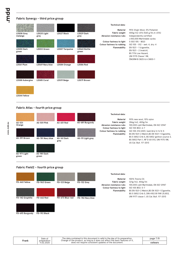## **Fabric Synergy - third price group**

|                       |                     |                        |                     | <b>Technical data:</b>                                                 |                                                                                                                                            |
|-----------------------|---------------------|------------------------|---------------------|------------------------------------------------------------------------|--------------------------------------------------------------------------------------------------------------------------------------------|
| LDS08 Grey<br>melange | LDS20 Light<br>grey | <b>LDS27 Black</b>     | LDS29 Dark<br>grey  | Material<br>Fabric weight<br>Abrasion resistance rubs                  | 95% Virgin Wool, 5% Poliamid<br>400g/m2 ±5% (560 g/lin.m ±5%)<br>Independently certified                                                   |
| <b>LDS50 Dark</b>     | LDS53 Green         | <b>LDS57 Turquoise</b> | <b>LDS60 Bottle</b> | Colour fastness to light<br>Colour fastness to rubbing<br>Flammability | $\geq$ 100,000 Martindale cycles<br>5 (ISO 105 - B02)<br>ISO 105 - X12 - wet: 4, dry: 4<br>EN 1021 - 1 (cigarette,<br>EN 1021 - 2 (match), |
| green                 |                     |                        | green               |                                                                        | BS 7176 Low Hazard,<br>UNI 9175 Classe 1 IM,<br>ÖNORM B 3825 & A 3800-1                                                                    |
| LDS61 Plum            | LDS69 Navy blue     | LDS84 Orange           | LDS86 Red           |                                                                        |                                                                                                                                            |
| LDS88 Aubergine       | <b>LDS85 Coral</b>  | LDS19 Beige            | <b>LDS79 Brown</b>  |                                                                        |                                                                                                                                            |
|                       |                     |                        |                     |                                                                        |                                                                                                                                            |
| <b>LDS44 Yellow</b>   |                     |                        |                     |                                                                        |                                                                                                                                            |

# **Fabric Atlas - fourth price group**



## **Fabric Field2 - fourth price group**

**FD-693 Burgundy**

|                 |              |                 |                  | Tech                        |
|-----------------|--------------|-----------------|------------------|-----------------------------|
| FD-463 Yellow   | FD-963 Green | FD-123 Beige    | FD-132 Grey      | Fa<br><b>Abrasion resis</b> |
|                 |              |                 |                  | <b>Colour fastn</b><br>FI   |
| FD-142 Graphite | FD-662 Red   | FD-673 Blue-red | FD-782 Navy blue |                             |
|                 |              |                 |                  |                             |

#### **Technical data:**

**Material Fabric weight Abrasion resistance rubs Ress to light Flammability**

100% Trevira CS 321g/m2, 450g/lm 100,000 cykli Martindale, EN ISO 12947 ISO 105 B02: 5-7 BS EN 1021-2 Match,BS EN 1021-1 Cigarette, BS 5 5852 Crib 5, DIN 4102 B1 FAR 25.853, UNI 9177 classe 1, US Cal. Bull. 117-2013

| Frank | Date of<br>preparation<br>11.02.2020 |  |
|-------|--------------------------------------|--|
|       |                                      |  |

**FD-192 Black**

The data contained in this document is valid in the day of its preparation.<br>Change of the product, as long as it does not affect the basic features of it,<br>does not require consistent updates of the document.

page 7/8 **colours**